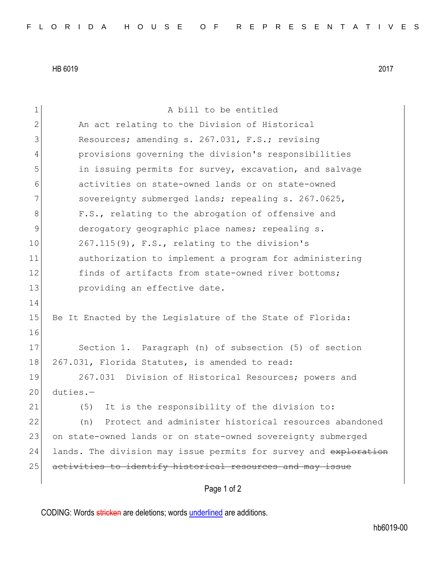HB 6019 2017

| $\mathbf 1$    | A bill to be entitled                                            |
|----------------|------------------------------------------------------------------|
| $\mathbf{2}$   | An act relating to the Division of Historical                    |
| 3              | Resources; amending s. 267.031, F.S.; revising                   |
| $\overline{4}$ | provisions governing the division's responsibilities             |
| 5              | in issuing permits for survey, excavation, and salvage           |
| 6              | activities on state-owned lands or on state-owned                |
| 7              | sovereignty submerged lands; repealing s. 267.0625,              |
| 8              | F.S., relating to the abrogation of offensive and                |
| 9              | derogatory geographic place names; repealing s.                  |
| 10             | 267.115(9), F.S., relating to the division's                     |
| 11             | authorization to implement a program for administering           |
| 12             | finds of artifacts from state-owned river bottoms;               |
| 13             | providing an effective date.                                     |
| 14             |                                                                  |
| 15             | Be It Enacted by the Legislature of the State of Florida:        |
| 16             |                                                                  |
| 17             | Section 1. Paragraph (n) of subsection (5) of section            |
| 18             | 267.031, Florida Statutes, is amended to read:                   |
| 19             | 267.031 Division of Historical Resources; powers and             |
| 20             | $duties. -$                                                      |
| 21             | It is the responsibility of the division to:<br>(5)              |
| 22             | Protect and administer historical resources abandoned<br>(n)     |
| 23             | on state-owned lands or on state-owned sovereignty submerged     |
| 24             | lands. The division may issue permits for survey and exploration |
| 25             | activities to identify historical resources and may issue        |
|                | Page 1 of 2                                                      |

CODING: Words stricken are deletions; words underlined are additions.